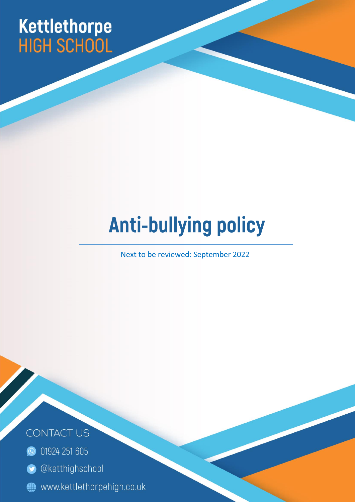# Kettlethorpe<br>HIGH SCHOOL

## **Anti-bullying policy**

Next to be reviewed: September 2022

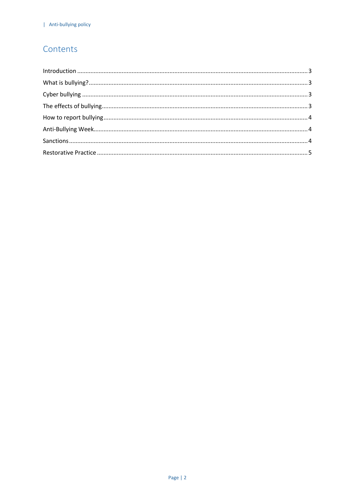#### Contents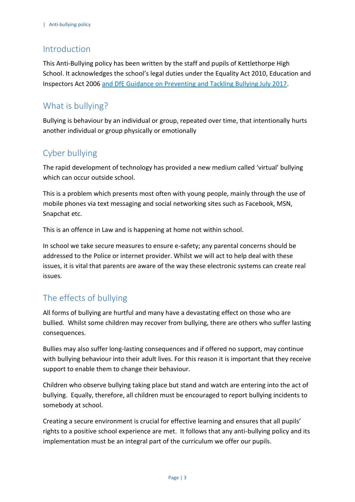#### <span id="page-2-0"></span>Introduction

This Anti-Bullying policy has been written by the staff and pupils of Kettlethorpe High School. It acknowledges the school's legal duties under the Equality Act 2010, Education and Inspectors Act 2006 and [DfE Guidance on Preventing and Tackling Bullying July 2017.](https://www.gov.uk/government/publications/preventing-and-tackling-bullying)

### <span id="page-2-1"></span>What is bullying?

Bullying is behaviour by an individual or group, repeated over time, that intentionally hurts another individual or group physically or emotionally

#### <span id="page-2-2"></span>Cyber bullying

The rapid development of technology has provided a new medium called 'virtual' bullying which can occur outside school.

This is a problem which presents most often with young people, mainly through the use of mobile phones via text messaging and social networking sites such as Facebook, MSN, Snapchat etc.

This is an offence in Law and is happening at home not within school.

In school we take secure measures to ensure e-safety; any parental concerns should be addressed to the Police or internet provider. Whilst we will act to help deal with these issues, it is vital that parents are aware of the way these electronic systems can create real issues.

#### <span id="page-2-3"></span>The effects of bullying

All forms of bullying are hurtful and many have a devastating effect on those who are bullied. Whilst some children may recover from bullying, there are others who suffer lasting consequences.

Bullies may also suffer long-lasting consequences and if offered no support, may continue with bullying behaviour into their adult lives. For this reason it is important that they receive support to enable them to change their behaviour.

Children who observe bullying taking place but stand and watch are entering into the act of bullying. Equally, therefore, all children must be encouraged to report bullying incidents to somebody at school.

Creating a secure environment is crucial for effective learning and ensures that all pupils' rights to a positive school experience are met. It follows that any anti-bullying policy and its implementation must be an integral part of the curriculum we offer our pupils.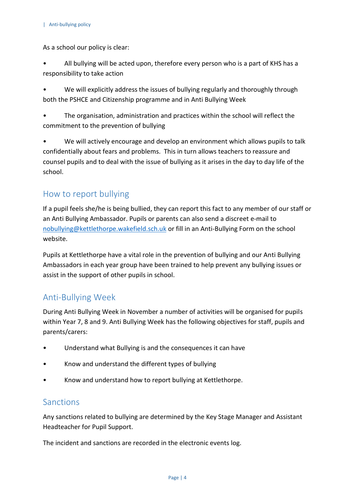As a school our policy is clear:

- All bullying will be acted upon, therefore every person who is a part of KHS has a responsibility to take action
- We will explicitly address the issues of bullying regularly and thoroughly through both the PSHCE and Citizenship programme and in Anti Bullying Week
- The organisation, administration and practices within the school will reflect the commitment to the prevention of bullying
- We will actively encourage and develop an environment which allows pupils to talk confidentially about fears and problems. This in turn allows teachers to reassure and counsel pupils and to deal with the issue of bullying as it arises in the day to day life of the school.

#### <span id="page-3-0"></span>How to report bullying

If a pupil feels she/he is being bullied, they can report this fact to any member of our staff or an Anti Bullying Ambassador. Pupils or parents can also send a discreet e-mail to [nobullying@kettlethorpe.wakefield.sch.uk](mailto:nobullying@kettlethorpe.wakefield.sch.uk) or fill in an Anti-Bullying Form on the school website.

Pupils at Kettlethorpe have a vital role in the prevention of bullying and our Anti Bullying Ambassadors in each year group have been trained to help prevent any bullying issues or assist in the support of other pupils in school.

#### <span id="page-3-1"></span>Anti-Bullying Week

During Anti Bullying Week in November a number of activities will be organised for pupils within Year 7, 8 and 9. Anti Bullying Week has the following objectives for staff, pupils and parents/carers:

- Understand what Bullying is and the consequences it can have
- Know and understand the different types of bullying
- Know and understand how to report bullying at Kettlethorpe.

#### <span id="page-3-2"></span>Sanctions

Any sanctions related to bullying are determined by the Key Stage Manager and Assistant Headteacher for Pupil Support.

The incident and sanctions are recorded in the electronic events log.